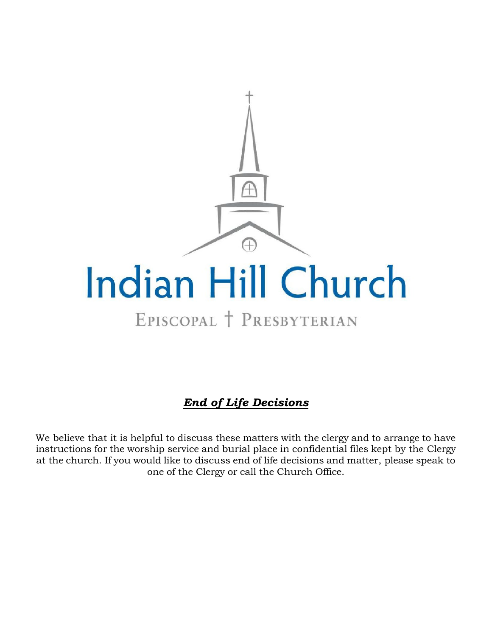

# *End of Life Decisions*

We believe that it is helpful to discuss these matters with the clergy and to arrange to have instructions for the worship service and burial place in confidential files kept by the Clergy at the church. If you would like to discuss end of life decisions and matter, please speak to one of the Clergy or call the Church Office.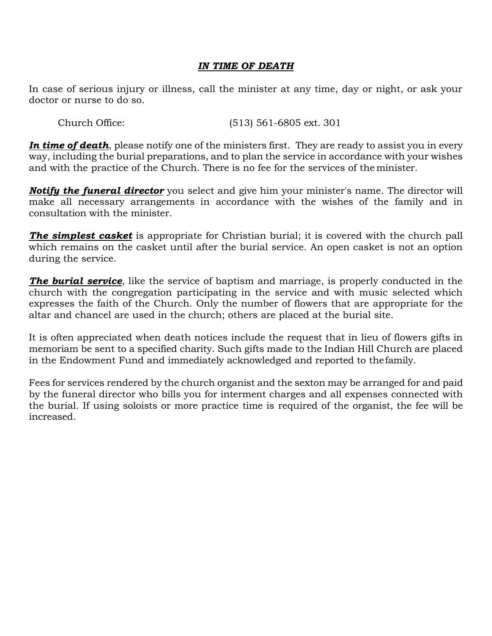### *IN TIME OF DEATH*

In case of serious injury or illness, call the minister at any time, day or night, or ask your doctor or nurse to do so.

Church Office: (513) 561-6805 ext. 301

*In time of death*, please notify one of the ministers first. They are ready to assist you in every way, including the burial preparations, and to plan the service in accordance with your wishes and with the practice of the Church. There is no fee for the services of the minister.

*Notify the funeral director* you select and give him your minister's name. The director will make all necessary arrangements in accordance with the wishes of the family and in consultation with the minister.

**The simplest casket** is appropriate for Christian burial; it is covered with the church pall which remains on the casket until after the burial service. An open casket is not an option during the service.

**The burial service**, like the service of baptism and marriage, is properly conducted in the church with the congregation participating in the service and with music selected which expresses the faith of the Church. Only the number of flowers that are appropriate for the altar and chancel are used in the church; others are placed at the burial site.

It is often appreciated when death notices include the request that in lieu of flowers gifts in memoriam be sent to a specified charity. Such gifts made to the Indian Hill Church are placed in the Endowment Fund and immediately acknowledged and reported to thefamily.

Fees for services rendered by the church organist and the sexton may be arranged for and paid by the funeral director who bills you for interment charges and all expenses connected with the burial. If using soloists or more practice time is required of the organist, the fee will be increased.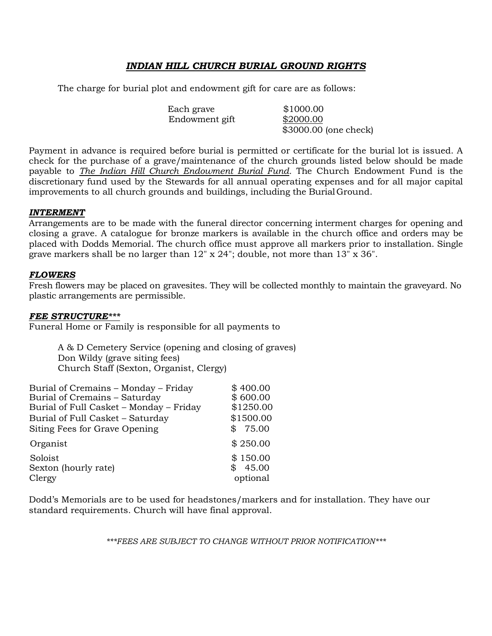### *INDIAN HILL CHURCH BURIAL GROUND RIGHTS*

The charge for burial plot and endowment gift for care are as follows:

| Each grave     | \$1000.00             |
|----------------|-----------------------|
| Endowment gift | \$2000.00             |
|                | \$3000.00 (one check) |

Payment in advance is required before burial is permitted or certificate for the burial lot is issued. A check for the purchase of a grave/maintenance of the church grounds listed below should be made payable to *The Indian Hill Church Endowment Burial Fund.* The Church Endowment Fund is the discretionary fund used by the Stewards for all annual operating expenses and for all major capital improvements to all church grounds and buildings, including the Burial Ground.

#### *INTERMENT*

Arrangements are to be made with the funeral director concerning interment charges for opening and closing a grave. A catalogue for bronze markers is available in the church office and orders may be placed with Dodds Memorial. The church office must approve all markers prior to installation. Single grave markers shall be no larger than 12" x 24"; double, not more than 13" x 36".

#### *FLOWERS*

Fresh flowers may be placed on gravesites. They will be collected monthly to maintain the graveyard. No plastic arrangements are permissible.

#### *FEE STRUCTURE\*\*\**

Funeral Home or Family is responsible for all payments to

A & D Cemetery Service (opening and closing of graves) Don Wildy (grave siting fees) Church Staff (Sexton, Organist, Clergy)

| Burial of Cremains - Monday - Friday<br>Burial of Cremains - Saturday<br>Burial of Full Casket - Monday - Friday<br>Burial of Full Casket - Saturday<br>Siting Fees for Grave Opening | \$400.00<br>\$600.00<br>\$1250.00<br>\$1500.00<br>75.00 |
|---------------------------------------------------------------------------------------------------------------------------------------------------------------------------------------|---------------------------------------------------------|
| Organist                                                                                                                                                                              | \$250.00                                                |
| Soloist<br>Sexton (hourly rate)<br>Clergy                                                                                                                                             | \$150.00<br>45.00<br>\$.<br>optional                    |

Dodd's Memorials are to be used for headstones/markers and for installation. They have our standard requirements. Church will have final approval.

*\*\*\*FEES ARE SUBJECT TO CHANGE WITHOUT PRIOR NOTIFICATION\*\*\**